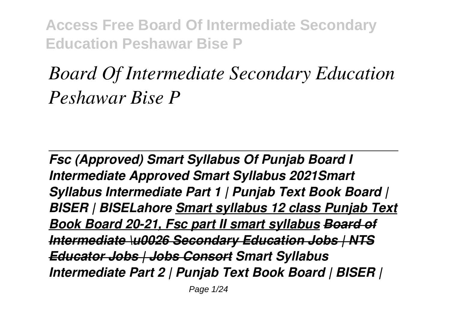# *Board Of Intermediate Secondary Education Peshawar Bise P*

*Fsc (Approved) Smart Syllabus Of Punjab Board I Intermediate Approved Smart Syllabus 2021Smart Syllabus Intermediate Part 1 | Punjab Text Book Board | BISER | BISELahore Smart syllabus 12 class Punjab Text Book Board 20-21, Fsc part II smart syllabus Board of Intermediate \u0026 Secondary Education Jobs | NTS Educator Jobs | Jobs Consort Smart Syllabus Intermediate Part 2 | Punjab Text Book Board | BISER |*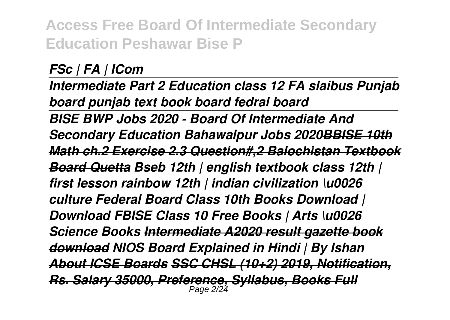*FSc | FA | ICom* 

*Intermediate Part 2 Education class 12 FA slaibus Punjab board punjab text book board fedral board BISE BWP Jobs 2020 - Board Of Intermediate And Secondary Education Bahawalpur Jobs 2020BBISE 10th Math ch.2 Exercise 2.3 Question#,2 Balochistan Textbook Board Quetta Bseb 12th | english textbook class 12th | first lesson rainbow 12th | indian civilization \u0026 culture Federal Board Class 10th Books Download | Download FBISE Class 10 Free Books | Arts \u0026 Science Books Intermediate A2020 result gazette book download NIOS Board Explained in Hindi | By Ishan About ICSE Boards SSC CHSL (10+2) 2019, Notification, Rs. Salary 35000, Preference, Syllabus, Books Full* Page 2/24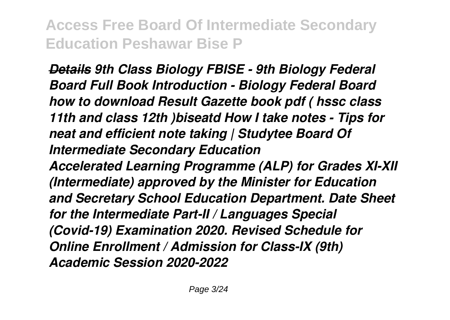*Details 9th Class Biology FBISE - 9th Biology Federal Board Full Book Introduction - Biology Federal Board how to download Result Gazette book pdf ( hssc class 11th and class 12th )biseatd How I take notes - Tips for neat and efficient note taking | Studytee Board Of Intermediate Secondary Education Accelerated Learning Programme (ALP) for Grades XI-XII (Intermediate) approved by the Minister for Education and Secretary School Education Department. Date Sheet for the Intermediate Part-II / Languages Special (Covid-19) Examination 2020. Revised Schedule for Online Enrollment / Admission for Class-IX (9th) Academic Session 2020-2022*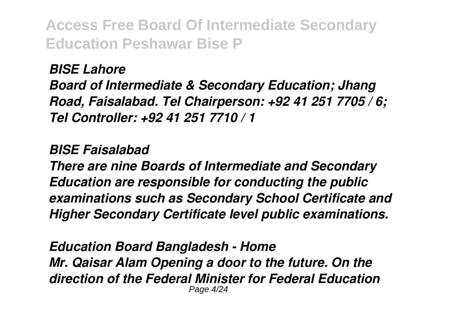*BISE Lahore*

*Board of Intermediate & Secondary Education; Jhang Road, Faisalabad. Tel Chairperson: +92 41 251 7705 / 6; Tel Controller: +92 41 251 7710 / 1*

#### *BISE Faisalabad*

*There are nine Boards of Intermediate and Secondary Education are responsible for conducting the public examinations such as Secondary School Certificate and Higher Secondary Certificate level public examinations.*

*Education Board Bangladesh - Home Mr. Qaisar Alam Opening a door to the future. On the direction of the Federal Minister for Federal Education* Page 4/24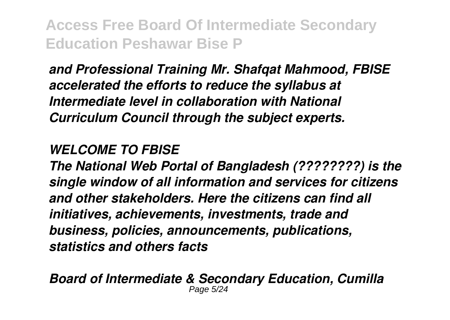*and Professional Training Mr. Shafqat Mahmood, FBISE accelerated the efforts to reduce the syllabus at Intermediate level in collaboration with National Curriculum Council through the subject experts.*

#### *WELCOME TO FBISE*

*The National Web Portal of Bangladesh (????????) is the single window of all information and services for citizens and other stakeholders. Here the citizens can find all initiatives, achievements, investments, trade and business, policies, announcements, publications, statistics and others facts*

*Board of Intermediate & Secondary Education, Cumilla* Page 5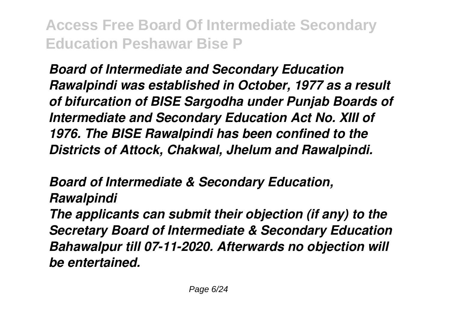*Board of Intermediate and Secondary Education Rawalpindi was established in October, 1977 as a result of bifurcation of BISE Sargodha under Punjab Boards of Intermediate and Secondary Education Act No. XIII of 1976. The BISE Rawalpindi has been confined to the Districts of Attock, Chakwal, Jhelum and Rawalpindi.*

*Board of Intermediate & Secondary Education, Rawalpindi The applicants can submit their objection (if any) to the Secretary Board of Intermediate & Secondary Education Bahawalpur till 07-11-2020. Afterwards no objection will be entertained.*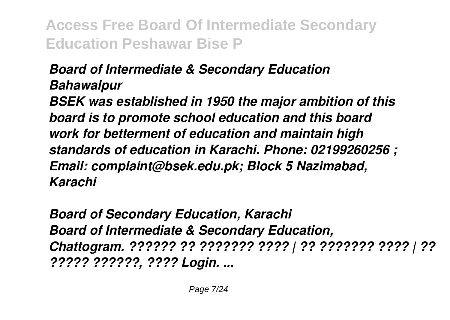## *Board of Intermediate & Secondary Education Bahawalpur*

*BSEK was established in 1950 the major ambition of this board is to promote school education and this board work for betterment of education and maintain high standards of education in Karachi. Phone: 02199260256 ; Email: complaint@bsek.edu.pk; Block 5 Nazimabad, Karachi*

*Board of Secondary Education, Karachi Board of Intermediate & Secondary Education, Chattogram. ?????? ?? ??????? ???? | ?? ??????? ???? | ?? ????? ??????, ???? Login. ...*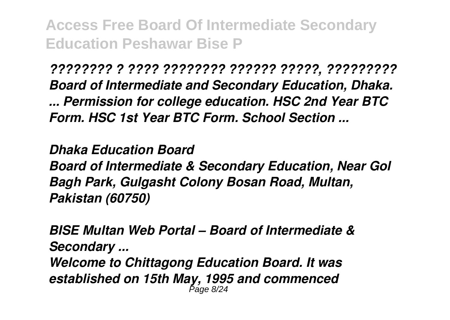*???????? ? ???? ???????? ?????? ?????, ????????? Board of Intermediate and Secondary Education, Dhaka. ... Permission for college education. HSC 2nd Year BTC Form. HSC 1st Year BTC Form. School Section ...*

*Dhaka Education Board Board of Intermediate & Secondary Education, Near Gol Bagh Park, Gulgasht Colony Bosan Road, Multan, Pakistan (60750)*

*BISE Multan Web Portal – Board of Intermediate & Secondary ... Welcome to Chittagong Education Board. It was established on 15th May, 1995 and commenced* Page 8/24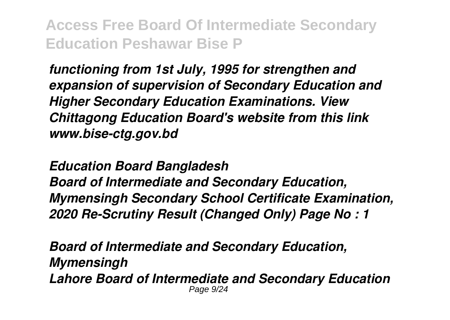*functioning from 1st July, 1995 for strengthen and expansion of supervision of Secondary Education and Higher Secondary Education Examinations. View Chittagong Education Board's website from this link www.bise-ctg.gov.bd*

*Education Board Bangladesh*

*Board of Intermediate and Secondary Education, Mymensingh Secondary School Certificate Examination, 2020 Re-Scrutiny Result (Changed Only) Page No : 1*

*Board of Intermediate and Secondary Education, Mymensingh Lahore Board of Intermediate and Secondary Education* Page 9/24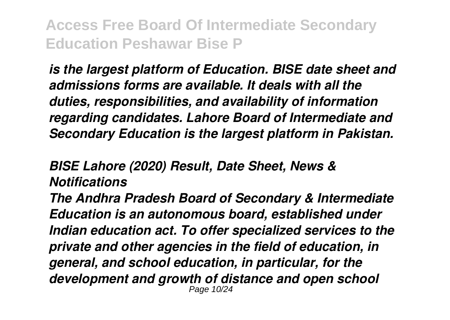*is the largest platform of Education. BISE date sheet and admissions forms are available. It deals with all the duties, responsibilities, and availability of information regarding candidates. Lahore Board of Intermediate and Secondary Education is the largest platform in Pakistan.*

### *BISE Lahore (2020) Result, Date Sheet, News & Notifications*

*The Andhra Pradesh Board of Secondary & Intermediate Education is an autonomous board, established under Indian education act. To offer specialized services to the private and other agencies in the field of education, in general, and school education, in particular, for the development and growth of distance and open school* Page 10/24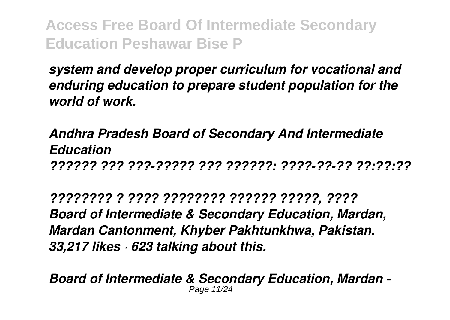*system and develop proper curriculum for vocational and enduring education to prepare student population for the world of work.*

*Andhra Pradesh Board of Secondary And Intermediate Education ?????? ??? ???-????? ??? ??????: ????-??-?? ??:??:??*

*???????? ? ???? ???????? ?????? ?????, ???? Board of Intermediate & Secondary Education, Mardan, Mardan Cantonment, Khyber Pakhtunkhwa, Pakistan. 33,217 likes · 623 talking about this.*

*Board of Intermediate & Secondary Education, Mardan -* Page 11/24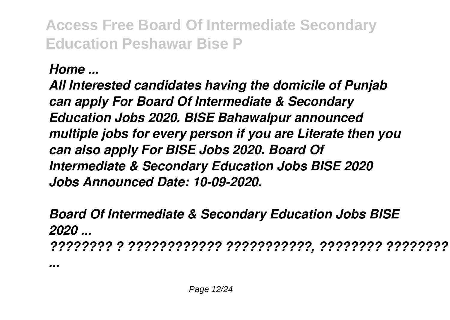## *Home ...*

*All Interested candidates having the domicile of Punjab can apply For Board Of Intermediate & Secondary Education Jobs 2020. BISE Bahawalpur announced multiple jobs for every person if you are Literate then you can also apply For BISE Jobs 2020. Board Of Intermediate & Secondary Education Jobs BISE 2020 Jobs Announced Date: 10-09-2020.*

*Board Of Intermediate & Secondary Education Jobs BISE 2020 ... ???????? ? ???????????? ???????????, ???????? ???????? ?*

*...*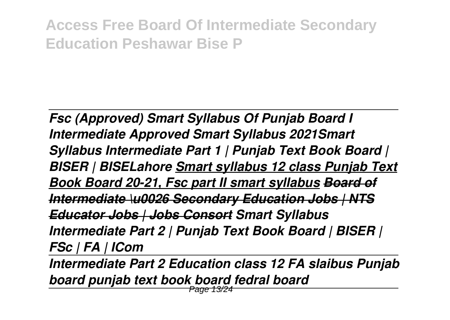*Fsc (Approved) Smart Syllabus Of Punjab Board I Intermediate Approved Smart Syllabus 2021Smart Syllabus Intermediate Part 1 | Punjab Text Book Board | BISER | BISELahore Smart syllabus 12 class Punjab Text Book Board 20-21, Fsc part II smart syllabus Board of Intermediate \u0026 Secondary Education Jobs | NTS Educator Jobs | Jobs Consort Smart Syllabus Intermediate Part 2 | Punjab Text Book Board | BISER | FSc | FA | ICom* 

*Intermediate Part 2 Education class 12 FA slaibus Punjab board punjab text book board fedral board*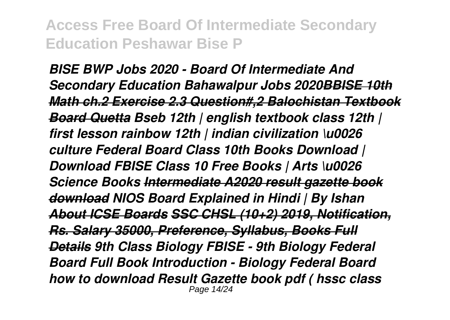*BISE BWP Jobs 2020 - Board Of Intermediate And Secondary Education Bahawalpur Jobs 2020BBISE 10th Math ch.2 Exercise 2.3 Question#,2 Balochistan Textbook Board Quetta Bseb 12th | english textbook class 12th | first lesson rainbow 12th | indian civilization \u0026 culture Federal Board Class 10th Books Download | Download FBISE Class 10 Free Books | Arts \u0026 Science Books Intermediate A2020 result gazette book download NIOS Board Explained in Hindi | By Ishan About ICSE Boards SSC CHSL (10+2) 2019, Notification, Rs. Salary 35000, Preference, Syllabus, Books Full Details 9th Class Biology FBISE - 9th Biology Federal Board Full Book Introduction - Biology Federal Board how to download Result Gazette book pdf ( hssc class* Page 14/24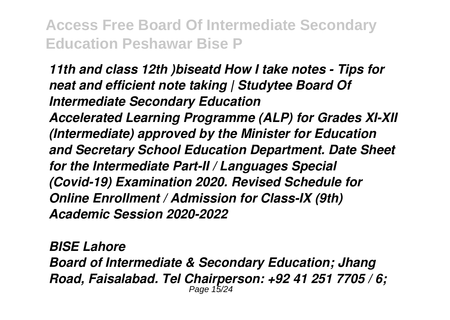*11th and class 12th )biseatd How I take notes - Tips for neat and efficient note taking | Studytee Board Of Intermediate Secondary Education Accelerated Learning Programme (ALP) for Grades XI-XII (Intermediate) approved by the Minister for Education and Secretary School Education Department. Date Sheet for the Intermediate Part-II / Languages Special (Covid-19) Examination 2020. Revised Schedule for Online Enrollment / Admission for Class-IX (9th) Academic Session 2020-2022*

*BISE Lahore Board of Intermediate & Secondary Education; Jhang Road, Faisalabad. Tel Chairperson: +92 41 251 7705 / 6;* Page 15/24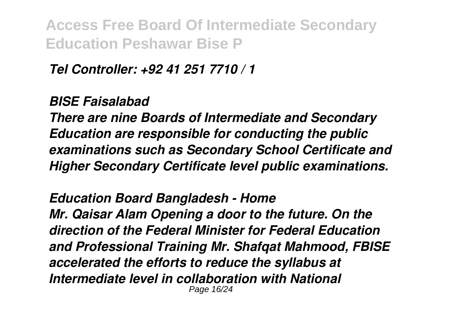*Tel Controller: +92 41 251 7710 / 1*

#### *BISE Faisalabad*

*There are nine Boards of Intermediate and Secondary Education are responsible for conducting the public examinations such as Secondary School Certificate and Higher Secondary Certificate level public examinations.*

*Education Board Bangladesh - Home Mr. Qaisar Alam Opening a door to the future. On the direction of the Federal Minister for Federal Education and Professional Training Mr. Shafqat Mahmood, FBISE accelerated the efforts to reduce the syllabus at Intermediate level in collaboration with National* Page 16/24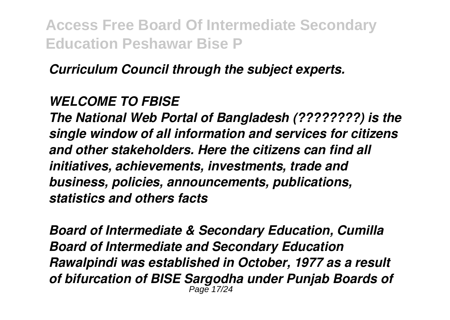*Curriculum Council through the subject experts.*

#### *WELCOME TO FBISE*

*The National Web Portal of Bangladesh (????????) is the single window of all information and services for citizens and other stakeholders. Here the citizens can find all initiatives, achievements, investments, trade and business, policies, announcements, publications, statistics and others facts*

*Board of Intermediate & Secondary Education, Cumilla Board of Intermediate and Secondary Education Rawalpindi was established in October, 1977 as a result of bifurcation of BISE Sargodha under Punjab Boards of* Page 17/24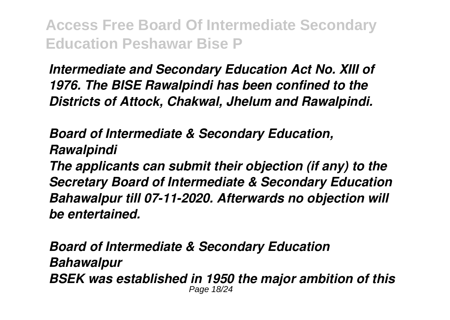*Intermediate and Secondary Education Act No. XIII of 1976. The BISE Rawalpindi has been confined to the Districts of Attock, Chakwal, Jhelum and Rawalpindi.*

*Board of Intermediate & Secondary Education, Rawalpindi The applicants can submit their objection (if any) to the Secretary Board of Intermediate & Secondary Education Bahawalpur till 07-11-2020. Afterwards no objection will be entertained.*

*Board of Intermediate & Secondary Education Bahawalpur BSEK was established in 1950 the major ambition of this* Page 18/24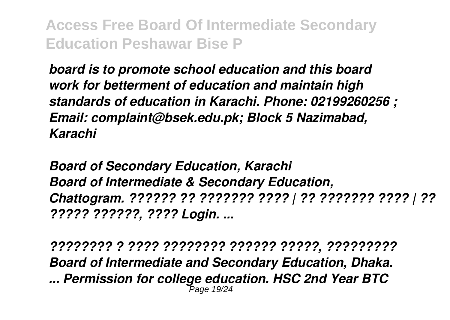*board is to promote school education and this board work for betterment of education and maintain high standards of education in Karachi. Phone: 02199260256 ; Email: complaint@bsek.edu.pk; Block 5 Nazimabad, Karachi*

*Board of Secondary Education, Karachi Board of Intermediate & Secondary Education, Chattogram. ?????? ?? ??????? ???? | ?? ??????? ???? | ?? ????? ??????, ???? Login. ...*

*???????? ? ???? ???????? ?????? ?????, ????????? Board of Intermediate and Secondary Education, Dhaka. ... Permission for college education. HSC 2nd Year BTC* Page 19/24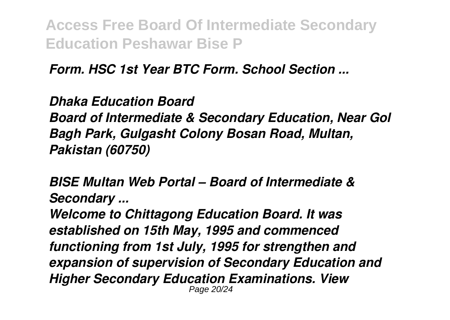*Form. HSC 1st Year BTC Form. School Section ...*

*Dhaka Education Board Board of Intermediate & Secondary Education, Near Gol Bagh Park, Gulgasht Colony Bosan Road, Multan, Pakistan (60750)*

*BISE Multan Web Portal – Board of Intermediate & Secondary ...*

*Welcome to Chittagong Education Board. It was established on 15th May, 1995 and commenced functioning from 1st July, 1995 for strengthen and expansion of supervision of Secondary Education and Higher Secondary Education Examinations. View* Page 20/24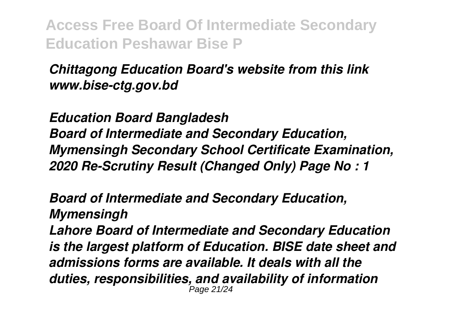## *Chittagong Education Board's website from this link www.bise-ctg.gov.bd*

*Education Board Bangladesh Board of Intermediate and Secondary Education, Mymensingh Secondary School Certificate Examination, 2020 Re-Scrutiny Result (Changed Only) Page No : 1*

*Board of Intermediate and Secondary Education, Mymensingh*

*Lahore Board of Intermediate and Secondary Education is the largest platform of Education. BISE date sheet and admissions forms are available. It deals with all the duties, responsibilities, and availability of information* Page 21/24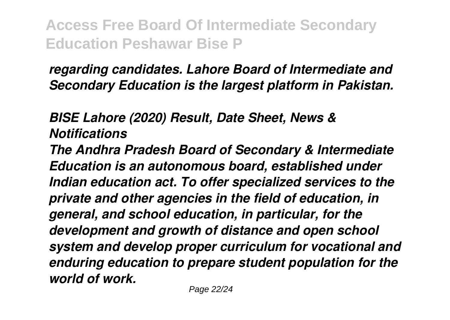*regarding candidates. Lahore Board of Intermediate and Secondary Education is the largest platform in Pakistan.*

*BISE Lahore (2020) Result, Date Sheet, News & Notifications*

*The Andhra Pradesh Board of Secondary & Intermediate Education is an autonomous board, established under Indian education act. To offer specialized services to the private and other agencies in the field of education, in general, and school education, in particular, for the development and growth of distance and open school system and develop proper curriculum for vocational and enduring education to prepare student population for the world of work.*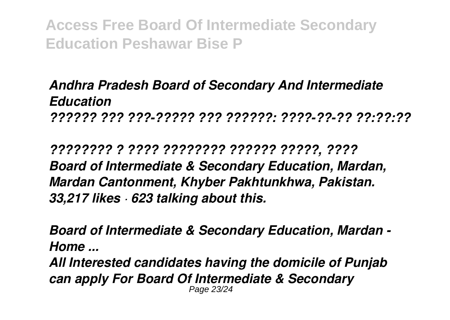*Andhra Pradesh Board of Secondary And Intermediate Education ?????? ??? ???-????? ??? ??????: ????-??-?? ??:??:??*

*???????? ? ???? ???????? ?????? ?????, ???? Board of Intermediate & Secondary Education, Mardan, Mardan Cantonment, Khyber Pakhtunkhwa, Pakistan. 33,217 likes · 623 talking about this.*

*Board of Intermediate & Secondary Education, Mardan - Home ...*

*All Interested candidates having the domicile of Punjab can apply For Board Of Intermediate & Secondary* Page 23/24